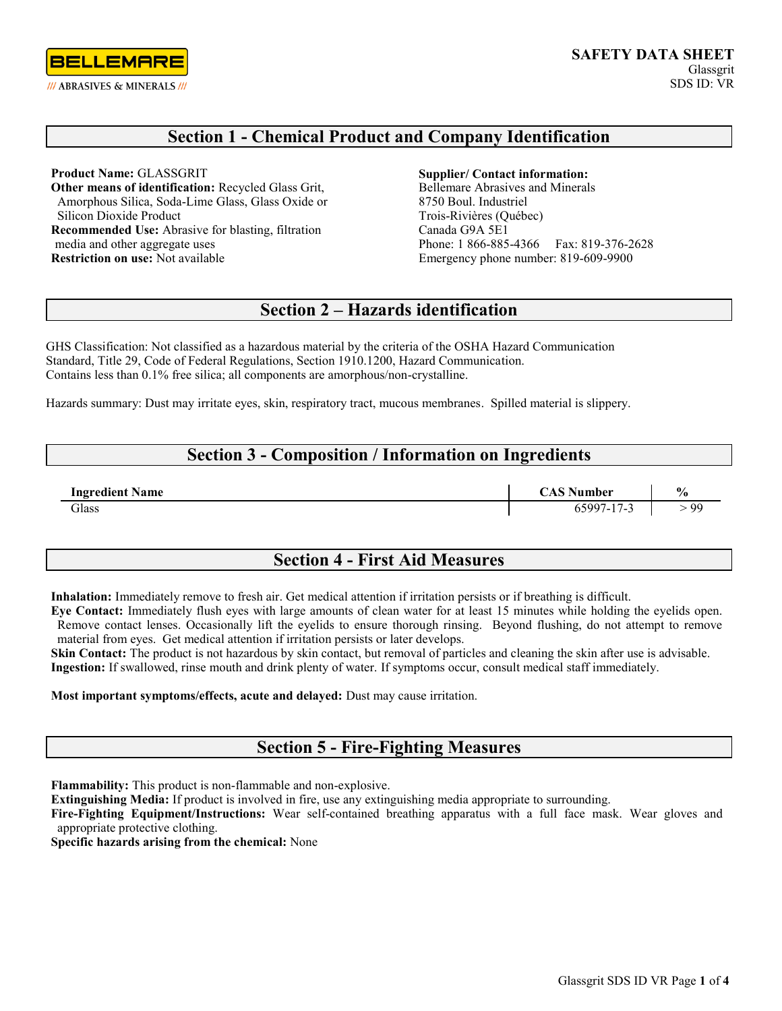

## **Section 1 - Chemical Product and Company Identification**

**Product Name:** GLASSGRIT **Other means of identification:** Recycled Glass Grit, Amorphous Silica, Soda-Lime Glass, Glass Oxide or Silicon Dioxide Product **Recommended Use:** Abrasive for blasting, filtration media and other aggregate uses **Restriction on use:** Not available

#### **Supplier/ Contact information:**

Bellemare Abrasives and Minerals 8750 Boul. Industriel Trois-Rivières (Québec) Canada G9A 5E1 Phone: 1 866-885-4366 Fax: 819-376-2628 Emergency phone number: 819-609-9900

# **Section 2 – Hazards identification**

GHS Classification: Not classified as a hazardous material by the criteria of the OSHA Hazard Communication Standard, Title 29, Code of Federal Regulations, Section 1910.1200, Hazard Communication. Contains less than 0.1% free silica; all components are amorphous/non-crystalline.

Hazards summary: Dust may irritate eyes, skin, respiratory tract, mucous membranes. Spilled material is slippery.

### **Section 3 - Composition / Information on Ingredients**

| <b>Ingredient Name</b> | $\mathbb{R}^n$ Number | $\frac{0}{0}$ |
|------------------------|-----------------------|---------------|
| Glass                  | $65997 - 17 -$        | 99            |

### **Section 4 - First Aid Measures**

**Inhalation:** Immediately remove to fresh air. Get medical attention if irritation persists or if breathing is difficult.

**Eye Contact:** Immediately flush eyes with large amounts of clean water for at least 15 minutes while holding the eyelids open. Remove contact lenses. Occasionally lift the eyelids to ensure thorough rinsing. Beyond flushing, do not attempt to remove material from eyes. Get medical attention if irritation persists or later develops.

**Skin Contact:** The product is not hazardous by skin contact, but removal of particles and cleaning the skin after use is advisable. **Ingestion:** If swallowed, rinse mouth and drink plenty of water. If symptoms occur, consult medical staff immediately.

#### **Most important symptoms/effects, acute and delayed:** Dust may cause irritation.

### **Section 5 - Fire-Fighting Measures**

**Flammability:** This product is non-flammable and non-explosive.

**Extinguishing Media:** If product is involved in fire, use any extinguishing media appropriate to surrounding.

**Fire-Fighting Equipment/Instructions:** Wear self-contained breathing apparatus with a full face mask. Wear gloves and appropriate protective clothing.

**Specific hazards arising from the chemical:** None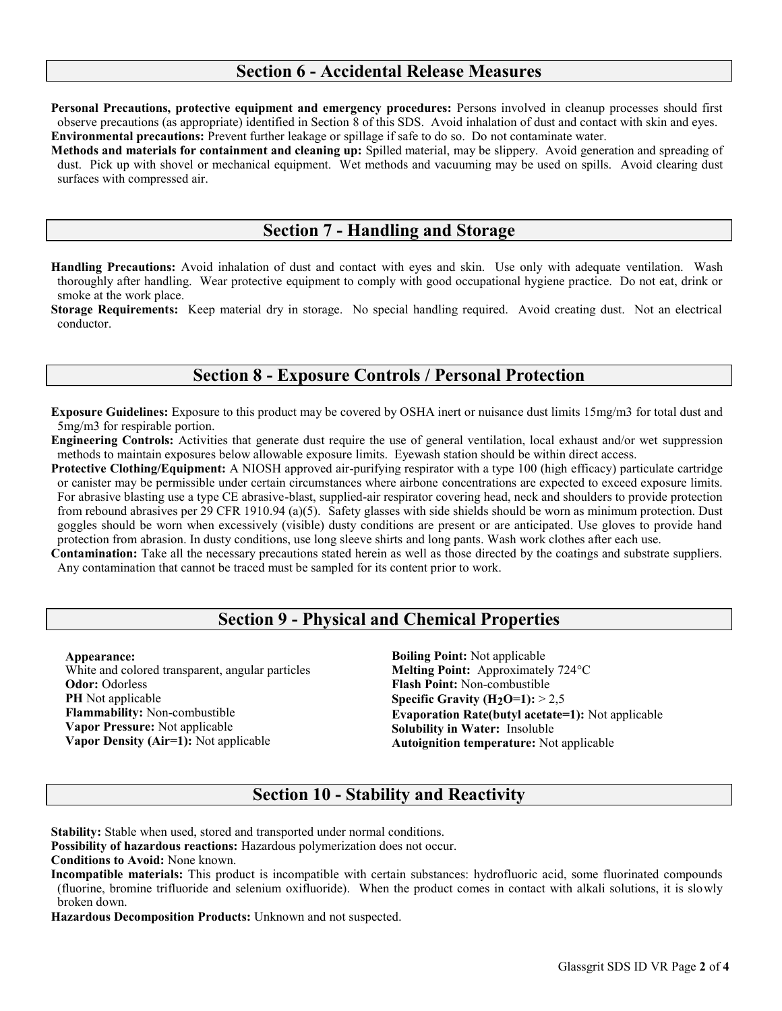### **Section 6 - Accidental Release Measures**

**Personal Precautions, protective equipment and emergency procedures:** Persons involved in cleanup processes should first observe precautions (as appropriate) identified in Section 8 of this SDS. Avoid inhalation of dust and contact with skin and eyes. **Environmental precautions:** Prevent further leakage or spillage if safe to do so. Do not contaminate water.

**Methods and materials for containment and cleaning up:** Spilled material, may be slippery. Avoid generation and spreading of dust. Pick up with shovel or mechanical equipment. Wet methods and vacuuming may be used on spills. Avoid clearing dust surfaces with compressed air.

### **Section 7 - Handling and Storage**

**Handling Precautions:** Avoid inhalation of dust and contact with eyes and skin. Use only with adequate ventilation. Wash thoroughly after handling. Wear protective equipment to comply with good occupational hygiene practice. Do not eat, drink or smoke at the work place.

**Storage Requirements:** Keep material dry in storage. No special handling required. Avoid creating dust. Not an electrical conductor.

#### **Section 8 - Exposure Controls / Personal Protection**

**Exposure Guidelines:** Exposure to this product may be covered by OSHA inert or nuisance dust limits 15mg/m3 for total dust and 5mg/m3 for respirable portion.

**Engineering Controls:** Activities that generate dust require the use of general ventilation, local exhaust and/or wet suppression methods to maintain exposures below allowable exposure limits. Eyewash station should be within direct access.

**Protective Clothing/Equipment:** A NIOSH approved air-purifying respirator with a type 100 (high efficacy) particulate cartridge or canister may be permissible under certain circumstances where airbone concentrations are expected to exceed exposure limits. For abrasive blasting use a type CE abrasive-blast, supplied-air respirator covering head, neck and shoulders to provide protection from rebound abrasives per 29 CFR 1910.94 (a)(5). Safety glasses with side shields should be worn as minimum protection. Dust goggles should be worn when excessively (visible) dusty conditions are present or are anticipated. Use gloves to provide hand protection from abrasion. In dusty conditions, use long sleeve shirts and long pants. Wash work clothes after each use.

**Contamination:** Take all the necessary precautions stated herein as well as those directed by the coatings and substrate suppliers. Any contamination that cannot be traced must be sampled for its content prior to work.

## **Section 9 - Physical and Chemical Properties**

**Appearance:**  White and colored transparent, angular particles **Odor:** Odorless **PH** Not applicable **Flammability:** Non-combustible **Vapor Pressure:** Not applicable **Vapor Density (Air=1):** Not applicable

**Boiling Point:** Not applicable **Melting Point:** Approximately 724°C **Flash Point:** Non-combustible **Specific Gravity (H2O=1):** > 2,5 **Evaporation Rate(butyl acetate=1):** Not applicable **Solubility in Water:** Insoluble **Autoignition temperature:** Not applicable

### **Section 10 - Stability and Reactivity**

**Stability:** Stable when used, stored and transported under normal conditions.

**Possibility of hazardous reactions:** Hazardous polymerization does not occur.

**Conditions to Avoid:** None known.

**Incompatible materials:** This product is incompatible with certain substances: hydrofluoric acid, some fluorinated compounds (fluorine, bromine trifluoride and selenium oxifluoride). When the product comes in contact with alkali solutions, it is slowly broken down.

**Hazardous Decomposition Products:** Unknown and not suspected.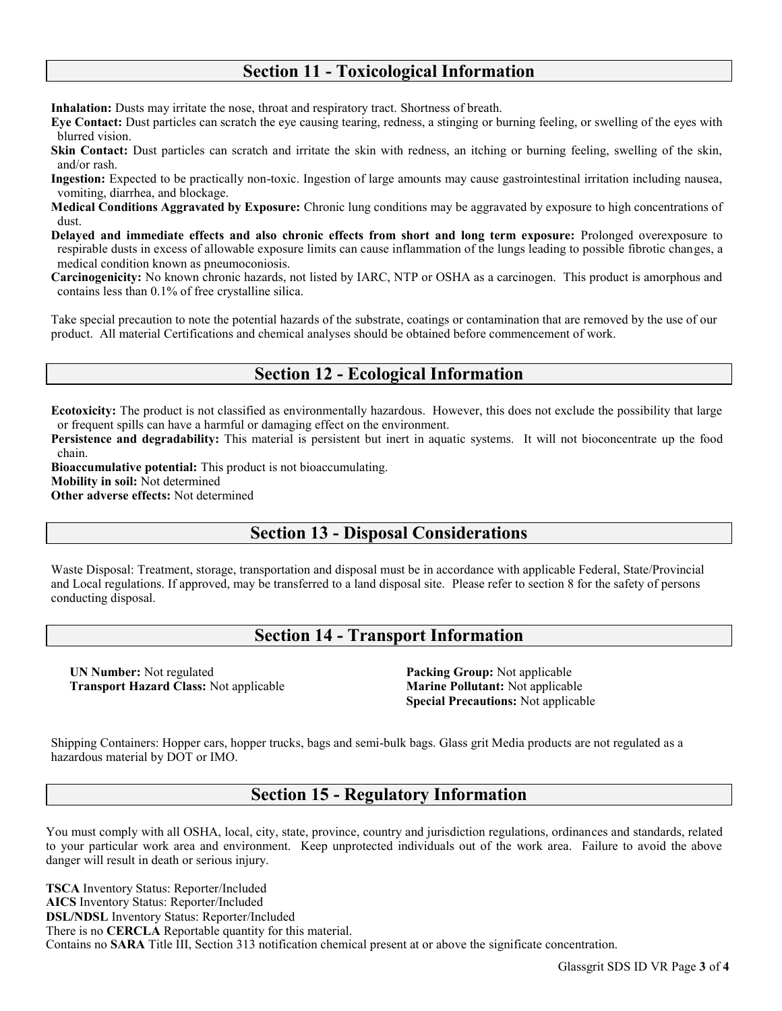### **Section 11 - Toxicological Information**

**Inhalation:** Dusts may irritate the nose, throat and respiratory tract. Shortness of breath.

**Eye Contact:** Dust particles can scratch the eye causing tearing, redness, a stinging or burning feeling, or swelling of the eyes with blurred vision.

**Skin Contact:** Dust particles can scratch and irritate the skin with redness, an itching or burning feeling, swelling of the skin, and/or rash.

**Ingestion:** Expected to be practically non-toxic. Ingestion of large amounts may cause gastrointestinal irritation including nausea, vomiting, diarrhea, and blockage.

**Medical Conditions Aggravated by Exposure:** Chronic lung conditions may be aggravated by exposure to high concentrations of dust.

**Delayed and immediate effects and also chronic effects from short and long term exposure:** Prolonged overexposure to respirable dusts in excess of allowable exposure limits can cause inflammation of the lungs leading to possible fibrotic changes, a medical condition known as pneumoconiosis.

**Carcinogenicity:** No known chronic hazards, not listed by IARC, NTP or OSHA as a carcinogen. This product is amorphous and contains less than 0.1% of free crystalline silica.

Take special precaution to note the potential hazards of the substrate, coatings or contamination that are removed by the use of our product. All material Certifications and chemical analyses should be obtained before commencement of work.

### **Section 12 - Ecological Information**

**Ecotoxicity:** The product is not classified as environmentally hazardous. However, this does not exclude the possibility that large or frequent spills can have a harmful or damaging effect on the environment.

**Persistence and degradability:** This material is persistent but inert in aquatic systems. It will not bioconcentrate up the food chain.

**Bioaccumulative potential:** This product is not bioaccumulating.

**Mobility in soil:** Not determined

**Other adverse effects:** Not determined

## **Section 13 - Disposal Considerations**

Waste Disposal: Treatment, storage, transportation and disposal must be in accordance with applicable Federal, State/Provincial and Local regulations. If approved, may be transferred to a land disposal site. Please refer to section 8 for the safety of persons conducting disposal.

### **Section 14 - Transport Information**

**UN Number:** Not regulated **Transport Hazard Class:** Not applicable

**Packing Group:** Not applicable **Marine Pollutant:** Not applicable **Special Precautions:** Not applicable

Shipping Containers: Hopper cars, hopper trucks, bags and semi-bulk bags. Glass grit Media products are not regulated as a hazardous material by DOT or IMO.

### **Section 15 - Regulatory Information**

You must comply with all OSHA, local, city, state, province, country and jurisdiction regulations, ordinances and standards, related to your particular work area and environment. Keep unprotected individuals out of the work area. Failure to avoid the above danger will result in death or serious injury.

**TSCA** Inventory Status: Reporter/Included **AICS** Inventory Status: Reporter/Included **DSL/NDSL** Inventory Status: Reporter/Included There is no **CERCLA** Reportable quantity for this material. Contains no **SARA** Title III, Section 313 notification chemical present at or above the significate concentration.